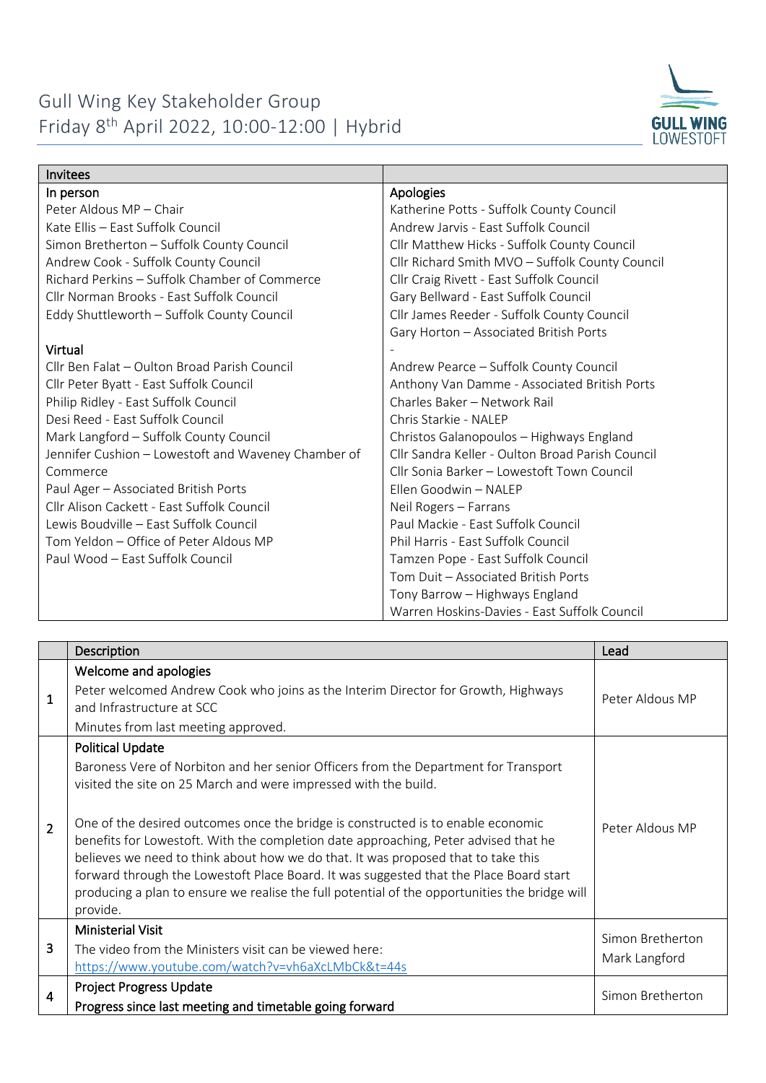

| <b>Invitees</b>                                     |                                                  |
|-----------------------------------------------------|--------------------------------------------------|
| In person                                           | Apologies                                        |
| Peter Aldous MP - Chair                             | Katherine Potts - Suffolk County Council         |
| Kate Ellis - East Suffolk Council                   | Andrew Jarvis - East Suffolk Council             |
| Simon Bretherton - Suffolk County Council           | Cllr Matthew Hicks - Suffolk County Council      |
| Andrew Cook - Suffolk County Council                | Cllr Richard Smith MVO - Suffolk County Council  |
| Richard Perkins - Suffolk Chamber of Commerce       | Cllr Craig Rivett - East Suffolk Council         |
| Cllr Norman Brooks - East Suffolk Council           | Gary Bellward - East Suffolk Council             |
| Eddy Shuttleworth - Suffolk County Council          | Cllr James Reeder - Suffolk County Council       |
|                                                     | Gary Horton - Associated British Ports           |
| Virtual                                             |                                                  |
| Cllr Ben Falat - Oulton Broad Parish Council        | Andrew Pearce - Suffolk County Council           |
| Cllr Peter Byatt - East Suffolk Council             | Anthony Van Damme - Associated British Ports     |
| Philip Ridley - East Suffolk Council                | Charles Baker - Network Rail                     |
| Desi Reed - East Suffolk Council                    | Chris Starkie - NALEP                            |
| Mark Langford - Suffolk County Council              | Christos Galanopoulos - Highways England         |
| Jennifer Cushion - Lowestoft and Waveney Chamber of | Cllr Sandra Keller - Oulton Broad Parish Council |
| Commerce                                            | Cllr Sonia Barker - Lowestoft Town Council       |
| Paul Ager - Associated British Ports                | Ellen Goodwin - NALEP                            |
| Cllr Alison Cackett - East Suffolk Council          | Neil Rogers - Farrans                            |
| Lewis Boudville - East Suffolk Council              | Paul Mackie - East Suffolk Council               |
| Tom Yeldon - Office of Peter Aldous MP              | Phil Harris - East Suffolk Council               |
| Paul Wood - East Suffolk Council                    | Tamzen Pope - East Suffolk Council               |
|                                                     | Tom Duit - Associated British Ports              |
|                                                     | Tony Barrow - Highways England                   |
|                                                     | Warren Hoskins-Davies - East Suffolk Council     |

|                | Description                                                                                                                                                                                                                                                                                                                                                                                                                                                                                                                                                                                                                                              | Lead                              |
|----------------|----------------------------------------------------------------------------------------------------------------------------------------------------------------------------------------------------------------------------------------------------------------------------------------------------------------------------------------------------------------------------------------------------------------------------------------------------------------------------------------------------------------------------------------------------------------------------------------------------------------------------------------------------------|-----------------------------------|
| $\mathbf{1}$   | Welcome and apologies<br>Peter welcomed Andrew Cook who joins as the Interim Director for Growth, Highways<br>and Infrastructure at SCC<br>Minutes from last meeting approved.                                                                                                                                                                                                                                                                                                                                                                                                                                                                           | Peter Aldous MP                   |
| $\overline{2}$ | <b>Political Update</b><br>Baroness Vere of Norbiton and her senior Officers from the Department for Transport<br>visited the site on 25 March and were impressed with the build.<br>One of the desired outcomes once the bridge is constructed is to enable economic<br>benefits for Lowestoft. With the completion date approaching, Peter advised that he<br>believes we need to think about how we do that. It was proposed that to take this<br>forward through the Lowestoft Place Board. It was suggested that the Place Board start<br>producing a plan to ensure we realise the full potential of the opportunities the bridge will<br>provide. | Peter Aldous MP                   |
| 3              | <b>Ministerial Visit</b><br>The video from the Ministers visit can be viewed here:<br>https://www.youtube.com/watch?v=vh6aXcLMbCk&t=44s                                                                                                                                                                                                                                                                                                                                                                                                                                                                                                                  | Simon Bretherton<br>Mark Langford |
| 4              | <b>Project Progress Update</b><br>Progress since last meeting and timetable going forward                                                                                                                                                                                                                                                                                                                                                                                                                                                                                                                                                                | Simon Bretherton                  |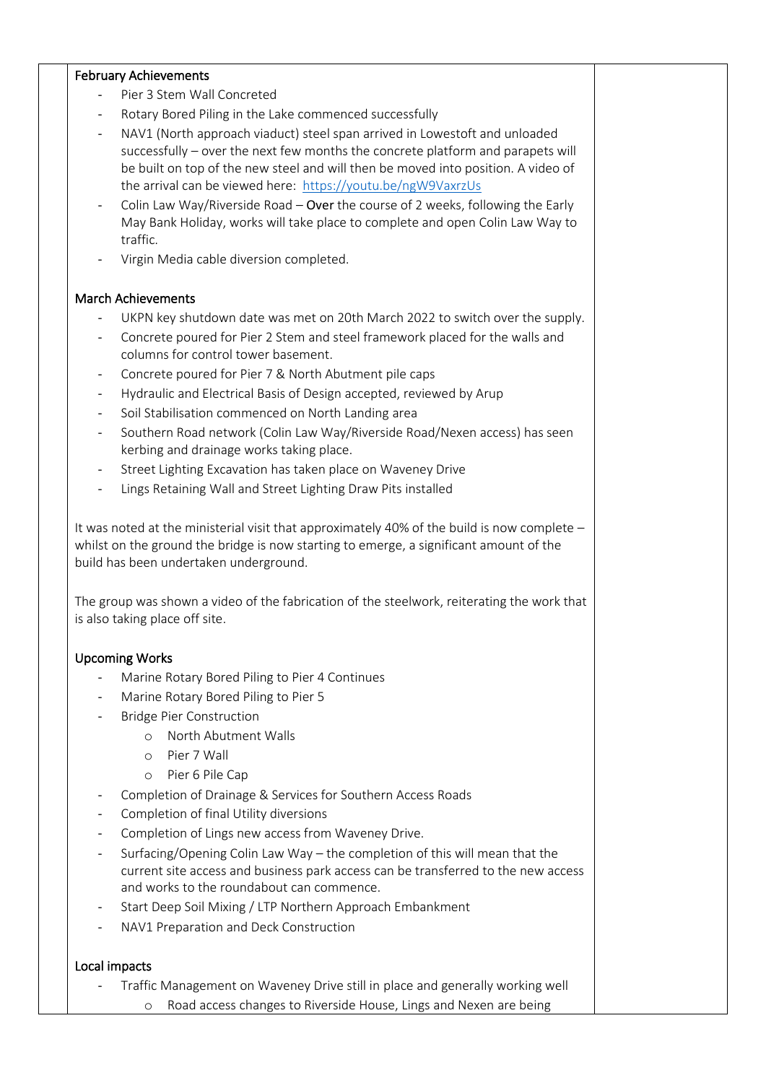## February Achievements

- Pier 3 Stem Wall Concreted
- Rotary Bored Piling in the Lake commenced successfully
- NAV1 (North approach viaduct) steel span arrived in Lowestoft and unloaded successfully – over the next few months the concrete platform and parapets will be built on top of the new steel and will then be moved into position. A video of the arrival can be viewed here: <https://youtu.be/ngW9VaxrzUs>
- Colin Law Way/Riverside Road Over the course of 2 weeks, following the Early May Bank Holiday, works will take place to complete and open Colin Law Way to traffic.
- Virgin Media cable diversion completed.

## March Achievements

- UKPN key shutdown date was met on 20th March 2022 to switch over the supply.
- Concrete poured for Pier 2 Stem and steel framework placed for the walls and columns for control tower basement.
- Concrete poured for Pier 7 & North Abutment pile caps
- Hydraulic and Electrical Basis of Design accepted, reviewed by Arup
- Soil Stabilisation commenced on North Landing area
- Southern Road network (Colin Law Way/Riverside Road/Nexen access) has seen kerbing and drainage works taking place.
- Street Lighting Excavation has taken place on Waveney Drive
- Lings Retaining Wall and Street Lighting Draw Pits installed

It was noted at the ministerial visit that approximately 40% of the build is now complete – whilst on the ground the bridge is now starting to emerge, a significant amount of the build has been undertaken underground.

The group was shown a video of the fabrication of the steelwork, reiterating the work that is also taking place off site.

## Upcoming Works

- Marine Rotary Bored Piling to Pier 4 Continues
- Marine Rotary Bored Piling to Pier 5
- **Bridge Pier Construction** 
	- o North Abutment Walls
	- o Pier 7 Wall
	- o Pier 6 Pile Cap
- Completion of Drainage & Services for Southern Access Roads
- Completion of final Utility diversions
- Completion of Lings new access from Waveney Drive.
- Surfacing/Opening Colin Law Way the completion of this will mean that the current site access and business park access can be transferred to the new access and works to the roundabout can commence.
- Start Deep Soil Mixing / LTP Northern Approach Embankment
- NAV1 Preparation and Deck Construction

## Local impacts

- Traffic Management on Waveney Drive still in place and generally working well
	- o Road access changes to Riverside House, Lings and Nexen are being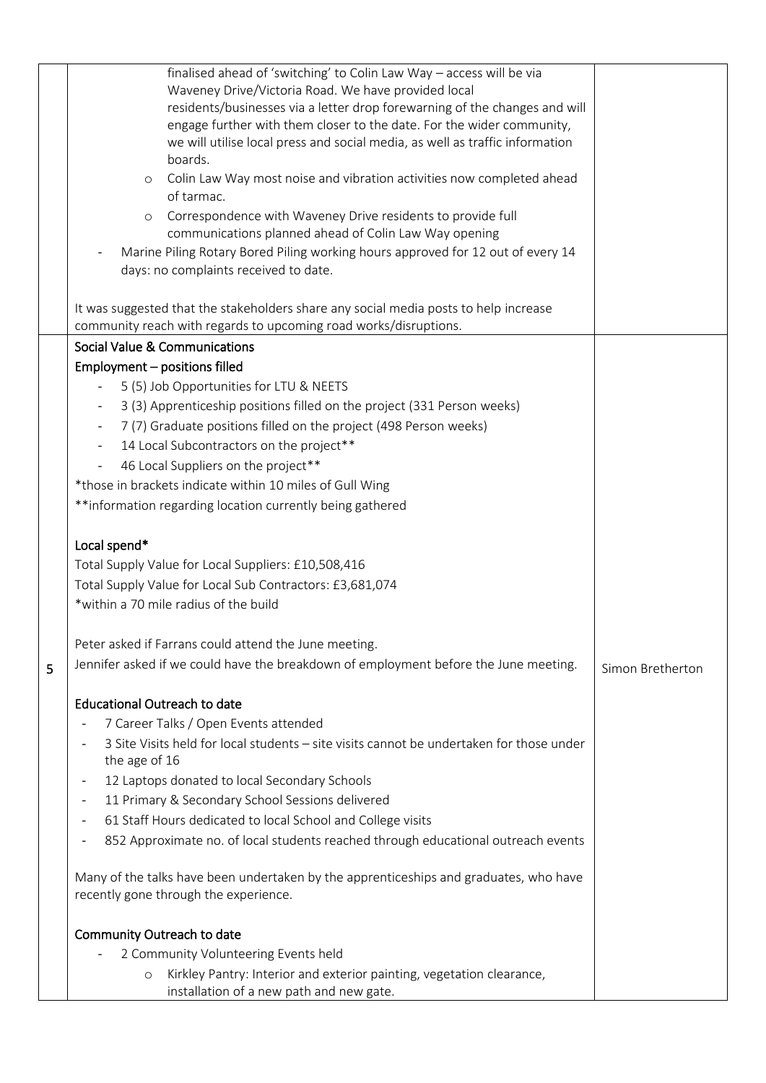|   | finalised ahead of 'switching' to Colin Law Way - access will be via                     |                  |
|---|------------------------------------------------------------------------------------------|------------------|
|   | Waveney Drive/Victoria Road. We have provided local                                      |                  |
|   | residents/businesses via a letter drop forewarning of the changes and will               |                  |
|   | engage further with them closer to the date. For the wider community,                    |                  |
|   | we will utilise local press and social media, as well as traffic information             |                  |
|   | boards.                                                                                  |                  |
|   | Colin Law Way most noise and vibration activities now completed ahead<br>$\circ$         |                  |
|   | of tarmac.                                                                               |                  |
|   | Correspondence with Waveney Drive residents to provide full<br>$\circ$                   |                  |
|   | communications planned ahead of Colin Law Way opening                                    |                  |
|   | Marine Piling Rotary Bored Piling working hours approved for 12 out of every 14          |                  |
|   | days: no complaints received to date.                                                    |                  |
|   |                                                                                          |                  |
|   | It was suggested that the stakeholders share any social media posts to help increase     |                  |
|   | community reach with regards to upcoming road works/disruptions.                         |                  |
|   | Social Value & Communications                                                            |                  |
|   | Employment - positions filled                                                            |                  |
|   | 5 (5) Job Opportunities for LTU & NEETS                                                  |                  |
|   | 3 (3) Apprenticeship positions filled on the project (331 Person weeks)                  |                  |
|   | 7 (7) Graduate positions filled on the project (498 Person weeks)                        |                  |
|   | 14 Local Subcontractors on the project**                                                 |                  |
|   | 46 Local Suppliers on the project**                                                      |                  |
|   | *those in brackets indicate within 10 miles of Gull Wing                                 |                  |
|   | **information regarding location currently being gathered                                |                  |
|   |                                                                                          |                  |
|   | Local spend*                                                                             |                  |
|   | Total Supply Value for Local Suppliers: £10,508,416                                      |                  |
|   | Total Supply Value for Local Sub Contractors: £3,681,074                                 |                  |
|   | *within a 70 mile radius of the build                                                    |                  |
|   |                                                                                          |                  |
|   | Peter asked if Farrans could attend the June meeting.                                    |                  |
| 5 | Jennifer asked if we could have the breakdown of employment before the June meeting.     | Simon Bretherton |
|   |                                                                                          |                  |
|   | <b>Educational Outreach to date</b>                                                      |                  |
|   | 7 Career Talks / Open Events attended                                                    |                  |
|   | 3 Site Visits held for local students - site visits cannot be undertaken for those under |                  |
|   | the age of 16                                                                            |                  |
|   | 12 Laptops donated to local Secondary Schools                                            |                  |
|   | 11 Primary & Secondary School Sessions delivered<br>$\overline{\phantom{a}}$             |                  |
|   | 61 Staff Hours dedicated to local School and College visits                              |                  |
|   | 852 Approximate no. of local students reached through educational outreach events        |                  |
|   |                                                                                          |                  |
|   | Many of the talks have been undertaken by the apprenticeships and graduates, who have    |                  |
|   | recently gone through the experience.                                                    |                  |
|   | Community Outreach to date                                                               |                  |
|   | 2 Community Volunteering Events held                                                     |                  |
|   | Kirkley Pantry: Interior and exterior painting, vegetation clearance,<br>$\circ$         |                  |
|   | installation of a new path and new gate.                                                 |                  |
|   |                                                                                          |                  |